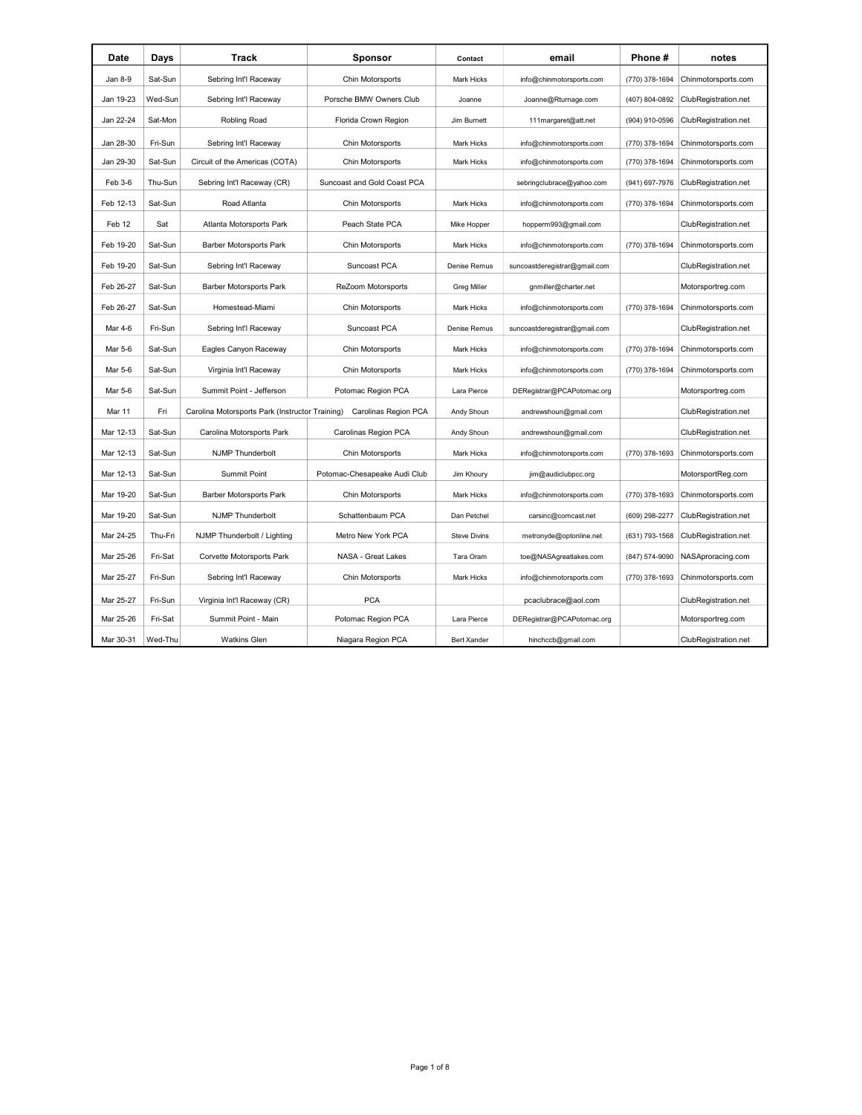| Date      | Days    | Track                                           | <b>Sponsor</b>               | Contact             | email                         | Phone #        | notes                |
|-----------|---------|-------------------------------------------------|------------------------------|---------------------|-------------------------------|----------------|----------------------|
| Jan 8-9   | Sat-Sun | Sebring Int'l Raceway                           | Chin Motorsports             | <b>Mark Hicks</b>   | info@chinmotorsports.com      | (770) 378-1694 | Chinmotorsports.com  |
| Jan 19-23 | Wed-Sun | Sebring Int'l Raceway                           | Porsche BMW Owners Club      | Joanne              | Joanne@Rturnage.com           | (407) 804-0892 | ClubRegistration.net |
| Jan 22-24 | Sat-Mon | Robling Road                                    | Florida Crown Region         | Jim Burnett         | 111margaret@att.net           | (904) 910-0596 | ClubRegistration.net |
| Jan 28-30 | Fri-Sun | Sebring Int'l Raceway                           | Chin Motorsports             | Mark Hicks          | info@chinmotorsports.com      | (770) 378-1694 | Chinmotorsports.com  |
| Jan 29-30 | Sat-Sun | Circuit of the Americas (COTA)                  | Chin Motorsports             | Mark Hicks          | info@chinmotorsports.com      | (770) 378-1694 | Chinmotorsports.com  |
| Feb 3-6   | Thu-Sun | Sebring Int'l Raceway (CR)                      | Suncoast and Gold Coast PCA  |                     | sebringclubrace@yahoo.com     | (941) 697-7976 | ClubRegistration.net |
| Feb 12-13 | Sat-Sun | Road Atlanta                                    | Chin Motorsports             | Mark Hicks          | info@chinmotorsports.com      | (770) 378-1694 | Chinmotorsports.com  |
| Feb 12    | Sat     | Atlanta Motorsports Park                        | Peach State PCA              | Mike Hopper         | hopperm993@gmail.com          |                | ClubRegistration.net |
| Feb 19-20 | Sat-Sun | <b>Barber Motorsports Park</b>                  | Chin Motorsports             | Mark Hicks          | info@chinmotorsports.com      | (770) 378-1694 | Chinmotorsports.com  |
| Feb 19-20 | Sat-Sun | Sebring Int'l Raceway                           | Suncoast PCA                 | Denise Remus        | suncoastderegistrar@gmail.com |                | ClubRegistration.net |
| Feb 26-27 | Sat-Sun | <b>Barber Motorsports Park</b>                  | ReZoom Motorsports           | <b>Greg Miller</b>  | gnmiller@charter.net          |                | Motorsportreg.com    |
| Feb 26-27 | Sat-Sun | Homestead-Miami                                 | Chin Motorsports             | Mark Hicks          | info@chinmotorsports.com      | (770) 378-1694 | Chinmotorsports.com  |
| Mar 4-6   | Fri-Sun | Sebring Int'l Raceway                           | Suncoast PCA                 | Denise Remus        | suncoastderegistrar@gmail.com |                | ClubRegistration.net |
| Mar 5-6   | Sat-Sun | Eagles Canyon Raceway                           | Chin Motorsports             | <b>Mark Hicks</b>   | info@chinmotorsports.com      | (770) 378-1694 | Chinmotorsports.com  |
| Mar 5-6   | Sat-Sun | Virginia Int'l Raceway                          | Chin Motorsports             | Mark Hicks          | info@chinmotorsports.com      | (770) 378-1694 | Chinmotorsports.com  |
| Mar 5-6   | Sat-Sun | Summit Point - Jefferson                        | Potomac Region PCA           | Lara Pierce         | DERegistrar@PCAPotomac.org    |                | Motorsportreg.com    |
| Mar 11    | Fri     | Carolina Motorsports Park (Instructor Training) | Carolinas Region PCA         | Andy Shoun          | andrewshoun@gmail.com         |                | ClubRegistration.net |
| Mar 12-13 | Sat-Sun | Carolina Motorsports Park                       | Carolinas Region PCA         | Andy Shoun          | andrewshoun@gmail.com         |                | ClubRegistration.net |
| Mar 12-13 | Sat-Sun | <b>NJMP Thunderbolt</b>                         | Chin Motorsports             | Mark Hicks          | info@chinmotorsports.com      | (770) 378-1693 | Chinmotorsports.com  |
| Mar 12-13 | Sat-Sun | <b>Summit Point</b>                             | Potomac-Chesapeake Audi Club | Jim Khoury          | jim@audiclubpcc.org           |                | MotorsportReg.com    |
| Mar 19-20 | Sat-Sun | Barber Motorsports Park                         | Chin Motorsports             | Mark Hicks          | info@chinmotorsports.com      | (770) 378-1693 | Chinmotorsports.com  |
| Mar 19-20 | Sat-Sun | <b>NJMP Thunderbolt</b>                         | Schattenbaum PCA             | Dan Petchel         | carsinc@comcast.net           | (609) 298-2277 | ClubRegistration.net |
| Mar 24-25 | Thu-Fri | NJMP Thunderbolt / Lighting                     | Metro New York PCA           | <b>Steve Divins</b> | metronyde@optonline.net       | (631) 793-1568 | ClubRegistration.net |
| Mar 25-26 | Fri-Sat | Corvette Motorsports Park                       | NASA - Great Lakes           | Tara Oram           | toe@NASAgreatlakes.com        | (847) 574-9090 | NASAproracing.com    |
| Mar 25-27 | Fri-Sun | Sebring Int'l Raceway                           | Chin Motorsports             | <b>Mark Hicks</b>   | info@chinmotorsports.com      | (770) 378-1693 | Chinmotorsports.com  |
| Mar 25-27 | Fri-Sun | Virginia Int'l Raceway (CR)                     | <b>PCA</b>                   |                     | pcaclubrace@aol.com           |                | ClubRegistration.net |
| Mar 25-26 | Fri-Sat | Summit Point - Main                             | Potomac Region PCA           | Lara Pierce         | DERegistrar@PCAPotomac.org    |                | Motorsportreg.com    |
| Mar 30-31 | Wed-Thu | <b>Watkins Glen</b>                             | Niagara Region PCA           | <b>Bert Xander</b>  | hinchccb@gmail.com            |                | ClubRegistration.net |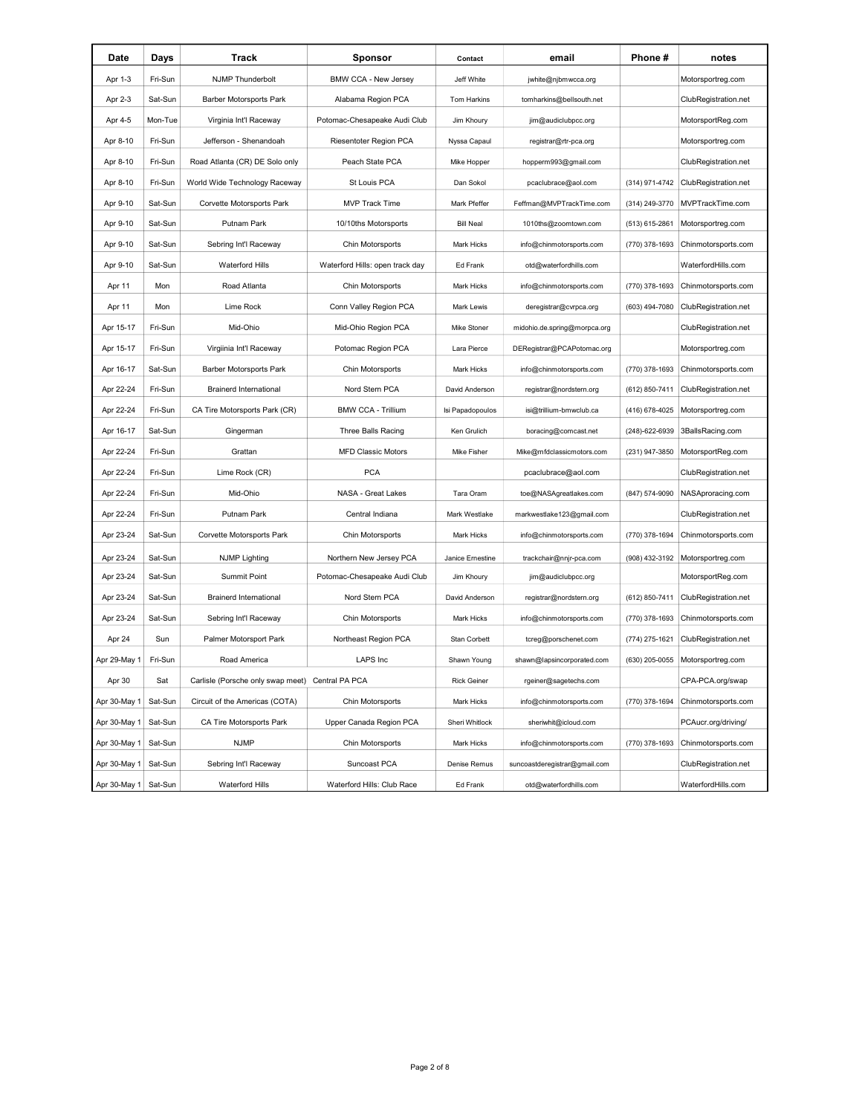| Date         | Days    | Track                                            | Sponsor                         | Contact            | email                         | Phone#         | notes                |
|--------------|---------|--------------------------------------------------|---------------------------------|--------------------|-------------------------------|----------------|----------------------|
| Apr 1-3      | Fri-Sun | <b>NJMP Thunderbolt</b>                          | BMW CCA - New Jersey            | Jeff White         | jwhite@njbmwcca.org           |                | Motorsportreg.com    |
| Apr 2-3      | Sat-Sun | <b>Barber Motorsports Park</b>                   | Alabama Region PCA              | Tom Harkins        | tomharkins@bellsouth.net      |                | ClubRegistration.net |
| Apr 4-5      | Mon-Tue | Virginia Int'l Raceway                           | Potomac-Chesapeake Audi Club    | Jim Khoury         | jim@audiclubpcc.org           |                | MotorsportReg.com    |
| Apr 8-10     | Fri-Sun | Jefferson - Shenandoah                           | Riesentoter Region PCA          | Nyssa Capaul       | registrar@rtr-pca.org         |                | Motorsportreg.com    |
| Apr 8-10     | Fri-Sun | Road Atlanta (CR) DE Solo only                   | Peach State PCA                 | Mike Hopper        | hopperm993@gmail.com          |                | ClubRegistration.net |
| Apr 8-10     | Fri-Sun | World Wide Technology Raceway                    | St Louis PCA                    | Dan Sokol          | pcaclubrace@aol.com           | (314) 971-4742 | ClubRegistration.net |
| Apr 9-10     | Sat-Sun | Corvette Motorsports Park                        | <b>MVP Track Time</b>           | Mark Pfeffer       | Feffman@MVPTrackTime.com      | (314) 249-3770 | MVPTrackTime.com     |
| Apr 9-10     | Sat-Sun | Putnam Park                                      | 10/10ths Motorsports            | <b>Bill Neal</b>   | 1010ths@zoomtown.com          | (513) 615-2861 | Motorsportreg.com    |
| Apr 9-10     | Sat-Sun | Sebring Int'l Raceway                            | Chin Motorsports                | <b>Mark Hicks</b>  | info@chinmotorsports.com      | (770) 378-1693 | Chinmotorsports.com  |
| Apr 9-10     | Sat-Sun | <b>Waterford Hills</b>                           | Waterford Hills: open track day | Ed Frank           | otd@waterfordhills.com        |                | WaterfordHills.com   |
| Apr 11       | Mon     | Road Atlanta                                     | Chin Motorsports                | Mark Hicks         | info@chinmotorsports.com      | (770) 378-1693 | Chinmotorsports.com  |
| Apr 11       | Mon     | Lime Rock                                        | Conn Valley Region PCA          | Mark Lewis         | deregistrar@cvrpca.org        | (603) 494-7080 | ClubRegistration.net |
| Apr 15-17    | Fri-Sun | Mid-Ohio                                         | Mid-Ohio Region PCA             | Mike Stoner        | midohio.de.spring@morpca.org  |                | ClubRegistration.net |
| Apr 15-17    | Fri-Sun | Virgiinia Int'l Raceway                          | Potomac Region PCA              | Lara Pierce        | DERegistrar@PCAPotomac.org    |                | Motorsportreg.com    |
| Apr 16-17    | Sat-Sun | <b>Barber Motorsports Park</b>                   | Chin Motorsports                | Mark Hicks         | info@chinmotorsports.com      | (770) 378-1693 | Chinmotorsports.com  |
| Apr 22-24    | Fri-Sun | <b>Brainerd International</b>                    | Nord Stern PCA                  | David Anderson     | registrar@nordstern.org       | (612) 850-7411 | ClubRegistration.net |
| Apr 22-24    | Fri-Sun | CA Tire Motorsports Park (CR)                    | <b>BMW CCA - Trillium</b>       | Isi Papadopoulos   | isi@trillium-bmwclub.ca       | (416) 678-4025 | Motorsportreg.com    |
| Apr 16-17    | Sat-Sun | Gingerman                                        | Three Balls Racing              | Ken Grulich        | boracing@comcast.net          | (248)-622-6939 | 3BallsRacing.com     |
| Apr 22-24    | Fri-Sun | Grattan                                          | <b>MFD Classic Motors</b>       | Mike Fisher        | Mike@mfdclassicmotors.com     | (231) 947-3850 | MotorsportReg.com    |
| Apr 22-24    | Fri-Sun | Lime Rock (CR)                                   | <b>PCA</b>                      |                    | pcaclubrace@aol.com           |                | ClubRegistration.net |
| Apr 22-24    | Fri-Sun | Mid-Ohio                                         | NASA - Great Lakes              | Tara Oram          | toe@NASAgreatlakes.com        | (847) 574-9090 | NASAproracing.com    |
| Apr 22-24    | Fri-Sun | Putnam Park                                      | Central Indiana                 | Mark Westlake      | markwestlake123@gmail.com     |                | ClubRegistration.net |
| Apr 23-24    | Sat-Sun | Corvette Motorsports Park                        | Chin Motorsports                | Mark Hicks         | info@chinmotorsports.com      | (770) 378-1694 | Chinmotorsports.com  |
| Apr 23-24    | Sat-Sun | <b>NJMP Lighting</b>                             | Northern New Jersey PCA         | Janice Ernestine   | trackchair@nnjr-pca.com       | (908) 432-3192 | Motorsportreg.com    |
| Apr 23-24    | Sat-Sun | <b>Summit Point</b>                              | Potomac-Chesapeake Audi Club    | Jim Khoury         | jim@audiclubpcc.org           |                | MotorsportReg.com    |
| Apr 23-24    | Sat-Sun | <b>Brainerd International</b>                    | Nord Stern PCA                  | David Anderson     | registrar@nordstern.org       | (612) 850-7411 | ClubRegistration.net |
| Apr 23-24    | Sat-Sun | Sebring Int'l Raceway                            | Chin Motorsports                | <b>Mark Hicks</b>  | info@chinmotorsports.com      | (770) 378-1693 | Chinmotorsports.com  |
| Apr 24       | Sun     | Palmer Motorsport Park                           | Northeast Region PCA            | Stan Corbett       | tcreg@porschenet.com          | (774) 275-1621 | ClubRegistration.net |
| Apr 29-May 1 | Fri-Sun | Road America                                     | <b>LAPS</b> Inc                 | Shawn Young        | shawn@lapsincorporated.com    | (630) 205-0055 | Motorsportreg.com    |
| Apr 30       | Sat     | Carlisle (Porsche only swap meet) Central PA PCA |                                 | <b>Rick Geiner</b> | rgeiner@sagetechs.com         |                | CPA-PCA.org/swap     |
| Apr 30-May 1 | Sat-Sun | Circuit of the Americas (COTA)                   | Chin Motorsports                | Mark Hicks         | info@chinmotorsports.com      | (770) 378-1694 | Chinmotorsports.com  |
| Apr 30-May 1 | Sat-Sun | CA Tire Motorsports Park                         | Upper Canada Region PCA         | Sheri Whitlock     | sheriwhit@icloud.com          |                | PCAucr.org/driving/  |
| Apr 30-May 1 | Sat-Sun | <b>NJMP</b>                                      | Chin Motorsports                | Mark Hicks         | info@chinmotorsports.com      | (770) 378-1693 | Chinmotorsports.com  |
| Apr 30-May 1 | Sat-Sun | Sebring Int'l Raceway                            | Suncoast PCA                    | Denise Remus       | suncoastderegistrar@gmail.com |                | ClubRegistration.net |
| Apr 30-May 1 | Sat-Sun | <b>Waterford Hills</b>                           | Waterford Hills: Club Race      | Ed Frank           | otd@waterfordhills.com        |                | WaterfordHills.com   |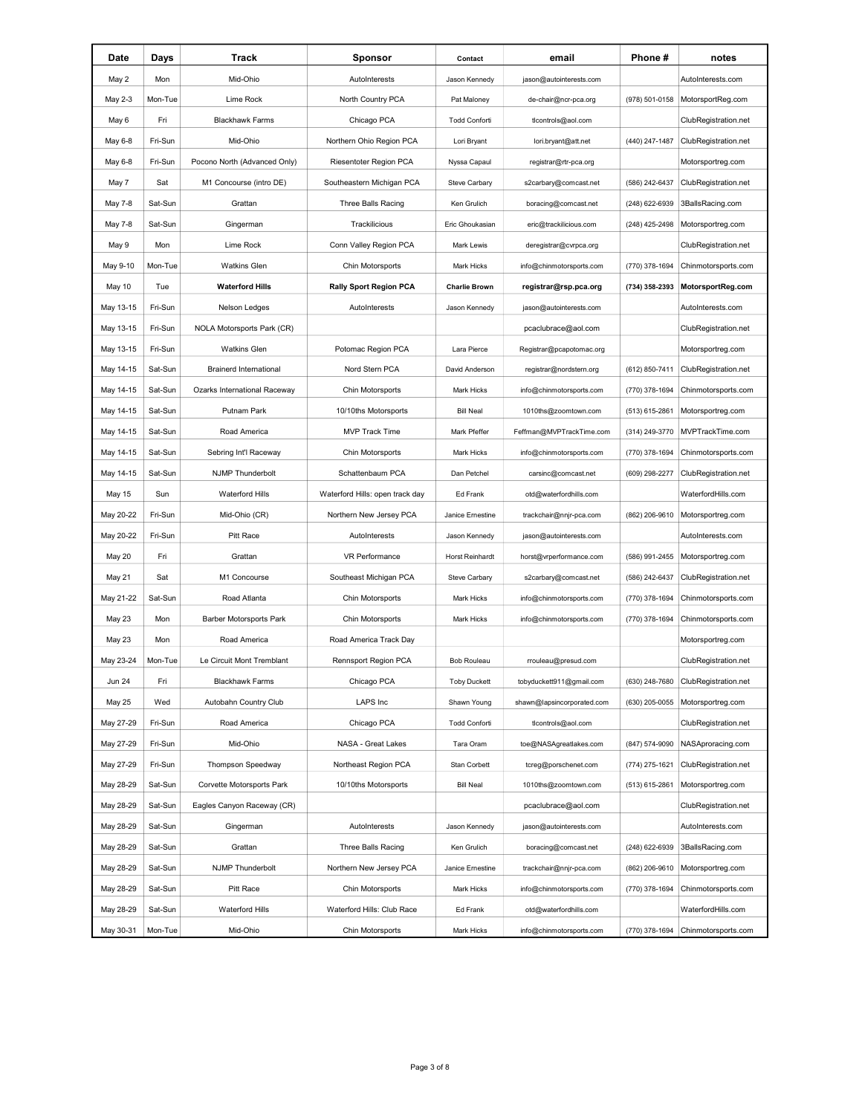| Date          | Days    | Track                          | Sponsor                         | Contact              | email                      | Phone #        | notes                |
|---------------|---------|--------------------------------|---------------------------------|----------------------|----------------------------|----------------|----------------------|
| May 2         | Mon     | Mid-Ohio                       | AutoInterests                   | Jason Kennedy        | jason@autointerests.com    |                | AutoInterests.com    |
| May 2-3       | Mon-Tue | Lime Rock                      | North Country PCA               | Pat Maloney          | de-chair@ncr-pca.org       | (978) 501-0158 | MotorsportReg.com    |
| May 6         | Fri     | <b>Blackhawk Farms</b>         | Chicago PCA                     | <b>Todd Conforti</b> | ticontrols@aol.com         |                | ClubRegistration.net |
| May 6-8       | Fri-Sun | Mid-Ohio                       | Northern Ohio Region PCA        | Lori Bryant          | lori.bryant@att.net        | (440) 247-1487 | ClubRegistration.net |
| May 6-8       | Fri-Sun | Pocono North (Advanced Only)   | Riesentoter Region PCA          | Nyssa Capaul         | registrar@rtr-pca.org      |                | Motorsportreg.com    |
| May 7         | Sat     | M1 Concourse (intro DE)        | Southeastern Michigan PCA       | Steve Carbary        | s2carbary@comcast.net      | (586) 242-6437 | ClubRegistration.net |
| May 7-8       | Sat-Sun | Grattan                        | Three Balls Racing              | Ken Grulich          | boracing@comcast.net       | (248) 622-6939 | 3BallsRacing.com     |
| May 7-8       | Sat-Sun | Gingerman                      | Trackilicious                   | Eric Ghoukasian      | eric@trackilicious.com     | (248) 425-2498 | Motorsportreg.com    |
| May 9         | Mon     | Lime Rock                      | Conn Valley Region PCA          | Mark Lewis           | deregistrar@cvrpca.org     |                | ClubRegistration.net |
| May 9-10      | Mon-Tue | <b>Watkins Glen</b>            | Chin Motorsports                | Mark Hicks           | info@chinmotorsports.com   | (770) 378-1694 | Chinmotorsports.com  |
| May 10        | Tue     | <b>Waterford Hills</b>         | <b>Rally Sport Region PCA</b>   | <b>Charlie Brown</b> | registrar@rsp.pca.org      | (734) 358-2393 | MotorsportReg.com    |
| May 13-15     | Fri-Sun | Nelson Ledges                  | AutoInterests                   | Jason Kennedy        | jason@autointerests.com    |                | AutoInterests.com    |
| May 13-15     | Fri-Sun | NOLA Motorsports Park (CR)     |                                 |                      | pcaclubrace@aol.com        |                | ClubRegistration.net |
| May 13-15     | Fri-Sun | <b>Watkins Glen</b>            | Potomac Region PCA              | Lara Pierce          | Registrar@pcapotomac.org   |                | Motorsportreg.com    |
| May 14-15     | Sat-Sun | <b>Brainerd International</b>  | Nord Stern PCA                  | David Anderson       | registrar@nordstern.org    | (612) 850-7411 | ClubRegistration.net |
| May 14-15     | Sat-Sun | Ozarks International Raceway   | Chin Motorsports                | <b>Mark Hicks</b>    | info@chinmotorsports.com   | (770) 378-1694 | Chinmotorsports.com  |
| May 14-15     | Sat-Sun | Putnam Park                    | 10/10ths Motorsports            | <b>Bill Neal</b>     | 1010ths@zoomtown.com       | (513) 615-2861 | Motorsportreg.com    |
| May 14-15     | Sat-Sun | Road America                   | <b>MVP Track Time</b>           | Mark Pfeffer         | Feffman@MVPTrackTime.com   | (314) 249-3770 | MVPTrackTime.com     |
| May 14-15     | Sat-Sun | Sebring Int'l Raceway          | Chin Motorsports                | Mark Hicks           | info@chinmotorsports.com   | (770) 378-1694 | Chinmotorsports.com  |
| May 14-15     | Sat-Sun | <b>NJMP Thunderbolt</b>        | Schattenbaum PCA                | Dan Petchel          | carsinc@comcast.net        | (609) 298-2277 | ClubRegistration.net |
| May 15        | Sun     | <b>Waterford Hills</b>         | Waterford Hills: open track day | Ed Frank             | otd@waterfordhills.com     |                | WaterfordHills.com   |
| May 20-22     | Fri-Sun | Mid-Ohio (CR)                  | Northern New Jersey PCA         | Janice Ernestine     | trackchair@nnjr-pca.com    | (862) 206-9610 | Motorsportreg.com    |
| May 20-22     | Fri-Sun | Pitt Race                      | AutoInterests                   | Jason Kennedy        | jason@autointerests.com    |                | AutoInterests.com    |
| May 20        | Fri     | Grattan                        | <b>VR Performance</b>           | Horst Reinhardt      | horst@vrperformance.com    | (586) 991-2455 | Motorsportreg.com    |
| May 21        | Sat     | M1 Concourse                   | Southeast Michigan PCA          | Steve Carbary        | s2carbary@comcast.net      | (586) 242-6437 | ClubRegistration.net |
| May 21-22     | Sat-Sun | Road Atlanta                   | Chin Motorsports                | <b>Mark Hicks</b>    | info@chinmotorsports.com   | (770) 378-1694 | Chinmotorsports.com  |
| May 23        | Mon     | <b>Barber Motorsports Park</b> | Chin Motorsports                | Mark Hicks           | info@chinmotorsports.com   | (770) 378-1694 | Chinmotorsports.com  |
| May 23        | Mon     | Road America                   | Road America Track Day          |                      |                            |                | Motorsportreg.com    |
| May 23-24     | Mon-Tue | Le Circuit Mont Tremblant      | <b>Rennsport Region PCA</b>     | Bob Rouleau          | rrouleau@presud.com        |                | ClubRegistration.net |
| <b>Jun 24</b> | Fri     | <b>Blackhawk Farms</b>         | Chicago PCA                     | <b>Toby Duckett</b>  | tobyduckett911@gmail.com   | (630) 248-7680 | ClubRegistration.net |
| May 25        | Wed     | Autobahn Country Club          | <b>LAPS</b> Inc                 | Shawn Young          | shawn@lapsincorporated.com | (630) 205-0055 | Motorsportreg.com    |
| May 27-29     | Fri-Sun | Road America                   | Chicago PCA                     | <b>Todd Conforti</b> | ticontrols@aol.com         |                | ClubRegistration.net |
| May 27-29     | Fri-Sun | Mid-Ohio                       | NASA - Great Lakes              | Tara Oram            | toe@NASAgreatlakes.com     | (847) 574-9090 | NASAproracing.com    |
| May 27-29     | Fri-Sun | <b>Thompson Speedway</b>       | Northeast Region PCA            | Stan Corbett         | tcreg@porschenet.com       | (774) 275-1621 | ClubRegistration.net |
| May 28-29     | Sat-Sun | Corvette Motorsports Park      | 10/10ths Motorsports            | <b>Bill Neal</b>     | 1010ths@zoomtown.com       | (513) 615-2861 | Motorsportreg.com    |
| May 28-29     | Sat-Sun | Eagles Canyon Raceway (CR)     |                                 |                      | pcaclubrace@aol.com        |                | ClubRegistration.net |
| May 28-29     | Sat-Sun | Gingerman                      | AutoInterests                   | Jason Kennedy        | jason@autointerests.com    |                | AutoInterests.com    |
| May 28-29     | Sat-Sun | Grattan                        | Three Balls Racing              | Ken Grulich          | boracing@comcast.net       | (248) 622-6939 | 3BallsRacing.com     |
| May 28-29     | Sat-Sun | <b>NJMP Thunderbolt</b>        | Northern New Jersey PCA         | Janice Ernestine     | trackchair@nnjr-pca.com    | (862) 206-9610 | Motorsportreg.com    |
| May 28-29     | Sat-Sun | Pitt Race                      | Chin Motorsports                | Mark Hicks           | info@chinmotorsports.com   | (770) 378-1694 | Chinmotorsports.com  |
| May 28-29     | Sat-Sun | <b>Waterford Hills</b>         | Waterford Hills: Club Race      | Ed Frank             | otd@waterfordhills.com     |                | WaterfordHills.com   |
| May 30-31     | Mon-Tue | Mid-Ohio                       | Chin Motorsports                | Mark Hicks           | info@chinmotorsports.com   | (770) 378-1694 | Chinmotorsports.com  |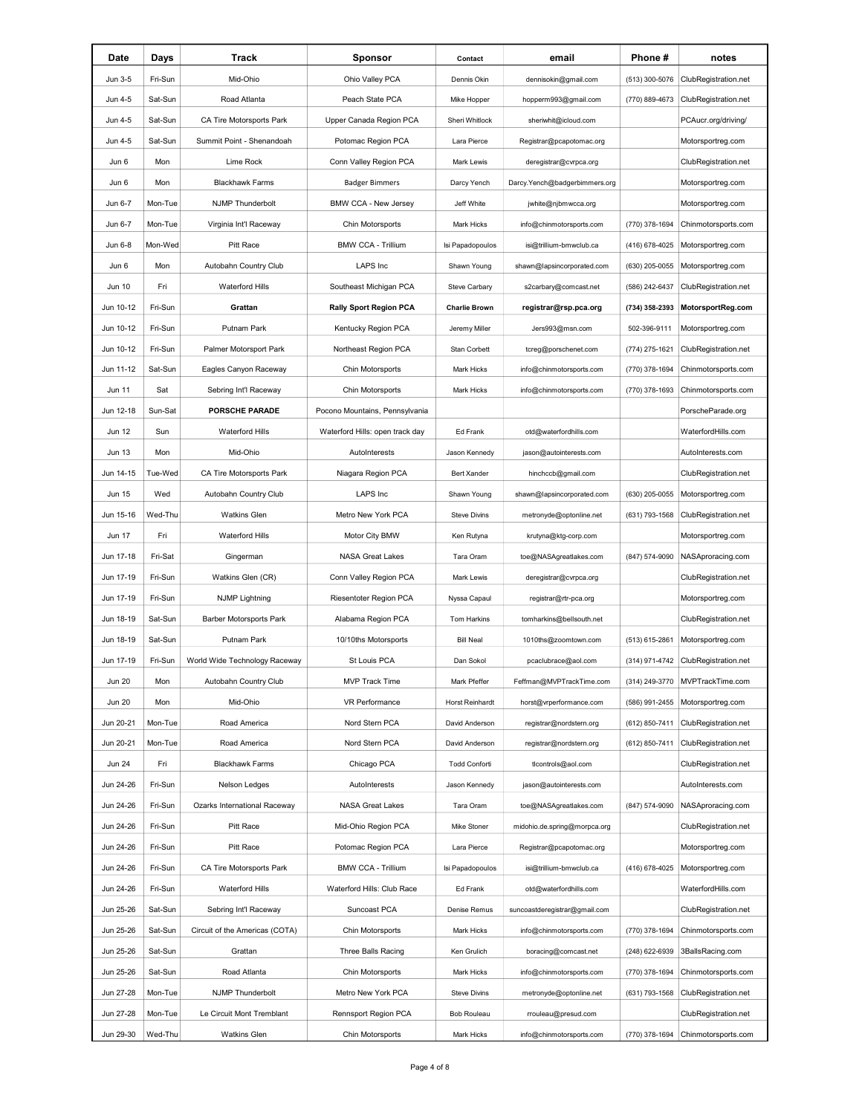| Date          | Days    | Track                          | <b>Sponsor</b>                  | Contact              | email                         | Phone #        | notes                           |
|---------------|---------|--------------------------------|---------------------------------|----------------------|-------------------------------|----------------|---------------------------------|
| Jun 3-5       | Fri-Sun | Mid-Ohio                       | Ohio Valley PCA                 | Dennis Okin          | dennisokin@gmail.com          | (513) 300-5076 | ClubRegistration.net            |
| Jun 4-5       | Sat-Sun | Road Atlanta                   | Peach State PCA                 | Mike Hopper          | hopperm993@gmail.com          | (770) 889-4673 | ClubRegistration.net            |
| Jun 4-5       | Sat-Sun | CA Tire Motorsports Park       | Upper Canada Region PCA         | Sheri Whitlock       | sheriwhit@icloud.com          |                | PCAucr.org/driving/             |
| Jun 4-5       | Sat-Sun | Summit Point - Shenandoah      | Potomac Region PCA              | Lara Pierce          | Registrar@pcapotomac.org      |                | Motorsportreg.com               |
| Jun 6         | Mon     | Lime Rock                      | Conn Valley Region PCA          | Mark Lewis           | deregistrar@cvrpca.org        |                | ClubRegistration.net            |
| Jun 6         | Mon     | <b>Blackhawk Farms</b>         | <b>Badger Bimmers</b>           | Darcy Yench          | Darcy.Yench@badgerbimmers.org |                | Motorsportreg.com               |
| Jun 6-7       | Mon-Tue | <b>NJMP Thunderbolt</b>        | <b>BMW CCA - New Jersey</b>     | Jeff White           | jwhite@njbmwcca.org           |                | Motorsportreg.com               |
| Jun 6-7       | Mon-Tue | Virginia Int'l Raceway         | Chin Motorsports                | Mark Hicks           | info@chinmotorsports.com      | (770) 378-1694 | Chinmotorsports.com             |
| Jun 6-8       | Mon-Wed | Pitt Race                      | <b>BMW CCA - Trillium</b>       | Isi Papadopoulos     | isi@trillium-bmwclub.ca       | (416) 678-4025 | Motorsportreg.com               |
| Jun 6         | Mon     | Autobahn Country Club          | LAPS Inc                        | Shawn Young          | shawn@lapsincorporated.com    | (630) 205-0055 | Motorsportreg.com               |
| Jun 10        | Fri     | <b>Waterford Hills</b>         | Southeast Michigan PCA          | Steve Carbary        | s2carbary@comcast.net         | (586) 242-6437 | ClubRegistration.net            |
| Jun 10-12     | Fri-Sun | Grattan                        | <b>Rally Sport Region PCA</b>   | <b>Charlie Brown</b> | registrar@rsp.pca.org         | (734) 358-2393 | MotorsportReg.com               |
| Jun 10-12     | Fri-Sun | Putnam Park                    | Kentucky Region PCA             | Jeremy Miller        | Jers993@msn.com               | 502-396-9111   | Motorsportreg.com               |
| Jun 10-12     | Fri-Sun | Palmer Motorsport Park         | Northeast Region PCA            | Stan Corbett         | tcreg@porschenet.com          | (774) 275-1621 | ClubRegistration.net            |
| Jun 11-12     | Sat-Sun | Eagles Canyon Raceway          | Chin Motorsports                | <b>Mark Hicks</b>    | info@chinmotorsports.com      | (770) 378-1694 | Chinmotorsports.com             |
| Jun 11        | Sat     | Sebring Int'l Raceway          | Chin Motorsports                | <b>Mark Hicks</b>    | info@chinmotorsports.com      | (770) 378-1693 | Chinmotorsports.com             |
| Jun 12-18     | Sun-Sat | <b>PORSCHE PARADE</b>          | Pocono Mountains, Pennsylvania  |                      |                               |                | PorscheParade.org               |
| Jun 12        | Sun     | Waterford Hills                | Waterford Hills: open track day | Ed Frank             | otd@waterfordhills.com        |                | WaterfordHills.com              |
| <b>Jun 13</b> | Mon     | Mid-Ohio                       | AutoInterests                   | Jason Kennedy        | jason@autointerests.com       |                | AutoInterests.com               |
| Jun 14-15     | Tue-Wed | CA Tire Motorsports Park       | Niagara Region PCA              | <b>Bert Xander</b>   | hinchccb@gmail.com            |                | ClubRegistration.net            |
| Jun 15        | Wed     | Autobahn Country Club          | <b>LAPS</b> Inc                 | Shawn Young          | shawn@lapsincorporated.com    | (630) 205-0055 | Motorsportreg.com               |
| Jun 15-16     | Wed-Thu | <b>Watkins Glen</b>            | Metro New York PCA              | <b>Steve Divins</b>  | metronyde@optonline.net       | (631) 793-1568 | ClubRegistration.net            |
| Jun 17        | Fri     | <b>Waterford Hills</b>         | Motor City BMW                  | Ken Rutyna           | krutyna@ktg-corp.com          |                | Motorsportreg.com               |
| Jun 17-18     | Fri-Sat | Gingerman                      | <b>NASA Great Lakes</b>         | Tara Oram            | toe@NASAgreatlakes.com        | (847) 574-9090 | NASAproracing.com               |
| Jun 17-19     | Fri-Sun | Watkins Glen (CR)              | Conn Valley Region PCA          | Mark Lewis           | deregistrar@cvrpca.org        |                | ClubRegistration.net            |
| Jun 17-19     | Fri-Sun | <b>NJMP Lightning</b>          | Riesentoter Region PCA          | Nyssa Capaul         | registrar@rtr-pca.org         |                | Motorsportreg.com               |
| Jun 18-19     | Sat-Sun | <b>Barber Motorsports Park</b> | Alabama Region PCA              | Tom Harkins          | tomharkins@bellsouth.net      |                | ClubRegistration.net            |
| Jun 18-19     | Sat-Sun | Putnam Park                    | 10/10ths Motorsports            | <b>Bill Neal</b>     | 1010ths@zoomtown.com          | (513) 615-2861 | Motorsportreg.com               |
| Jun 17-19     | Fri-Sun | World Wide Technology Raceway  | St Louis PCA                    | Dan Sokol            | pcaclubrace@aol.com           | (314) 971-4742 | ClubRegistration.net            |
| <b>Jun 20</b> | Mon     | Autobahn Country Club          | MVP Track Time                  | Mark Pfeffer         | Feffman@MVPTrackTime.com      |                | (314) 249-3770 MVPTrackTime.com |
| <b>Jun 20</b> | Mon     | Mid-Ohio                       | VR Performance                  | Horst Reinhardt      | horst@vrperformance.com       | (586) 991-2455 | Motorsportreg.com               |
| Jun 20-21     | Mon-Tue | Road America                   | Nord Stern PCA                  | David Anderson       | registrar@nordstern.org       | (612) 850-7411 | ClubRegistration.net            |
| Jun 20-21     | Mon-Tue | Road America                   | Nord Stern PCA                  | David Anderson       | registrar@nordstern.org       | (612) 850-7411 | ClubRegistration.net            |
| <b>Jun 24</b> | Fri     | <b>Blackhawk Farms</b>         | Chicago PCA                     | <b>Todd Conforti</b> | ticontrols@aol.com            |                | ClubRegistration.net            |
| Jun 24-26     | Fri-Sun | Nelson Ledges                  | AutoInterests                   | Jason Kennedy        | jason@autointerests.com       |                | AutoInterests.com               |
| Jun 24-26     | Fri-Sun | Ozarks International Raceway   | <b>NASA Great Lakes</b>         | Tara Oram            | toe@NASAgreatlakes.com        | (847) 574-9090 | NASAproracing.com               |
| Jun 24-26     | Fri-Sun | Pitt Race                      | Mid-Ohio Region PCA             | Mike Stoner          | midohio.de.spring@morpca.org  |                | ClubRegistration.net            |
| Jun 24-26     | Fri-Sun | Pitt Race                      | Potomac Region PCA              | Lara Pierce          | Registrar@pcapotomac.org      |                | Motorsportreg.com               |
| Jun 24-26     | Fri-Sun | CA Tire Motorsports Park       | <b>BMW CCA - Trillium</b>       | Isi Papadopoulos     | isi@trillium-bmwclub.ca       | (416) 678-4025 | Motorsportreg.com               |
| Jun 24-26     | Fri-Sun | <b>Waterford Hills</b>         | Waterford Hills: Club Race      | Ed Frank             | otd@waterfordhills.com        |                | WaterfordHills.com              |
| Jun 25-26     | Sat-Sun | Sebring Int'l Raceway          | Suncoast PCA                    | Denise Remus         | suncoastderegistrar@gmail.com |                | ClubRegistration.net            |
| Jun 25-26     | Sat-Sun | Circuit of the Americas (COTA) | Chin Motorsports                | Mark Hicks           | info@chinmotorsports.com      | (770) 378-1694 | Chinmotorsports.com             |
| Jun 25-26     | Sat-Sun | Grattan                        | Three Balls Racing              | Ken Grulich          | boracing@comcast.net          | (248) 622-6939 | 3BallsRacing.com                |
| Jun 25-26     | Sat-Sun | Road Atlanta                   | Chin Motorsports                | Mark Hicks           | info@chinmotorsports.com      | (770) 378-1694 | Chinmotorsports.com             |
| Jun 27-28     | Mon-Tue | NJMP Thunderbolt               | Metro New York PCA              | Steve Divins         | metronyde@optonline.net       | (631) 793-1568 | ClubRegistration.net            |
| Jun 27-28     | Mon-Tue | Le Circuit Mont Tremblant      | Rennsport Region PCA            | <b>Bob Rouleau</b>   | rrouleau@presud.com           |                | ClubRegistration.net            |
| Jun 29-30     | Wed-Thu | <b>Watkins Glen</b>            | Chin Motorsports                | Mark Hicks           | info@chinmotorsports.com      | (770) 378-1694 | Chinmotorsports.com             |
|               |         |                                |                                 |                      |                               |                |                                 |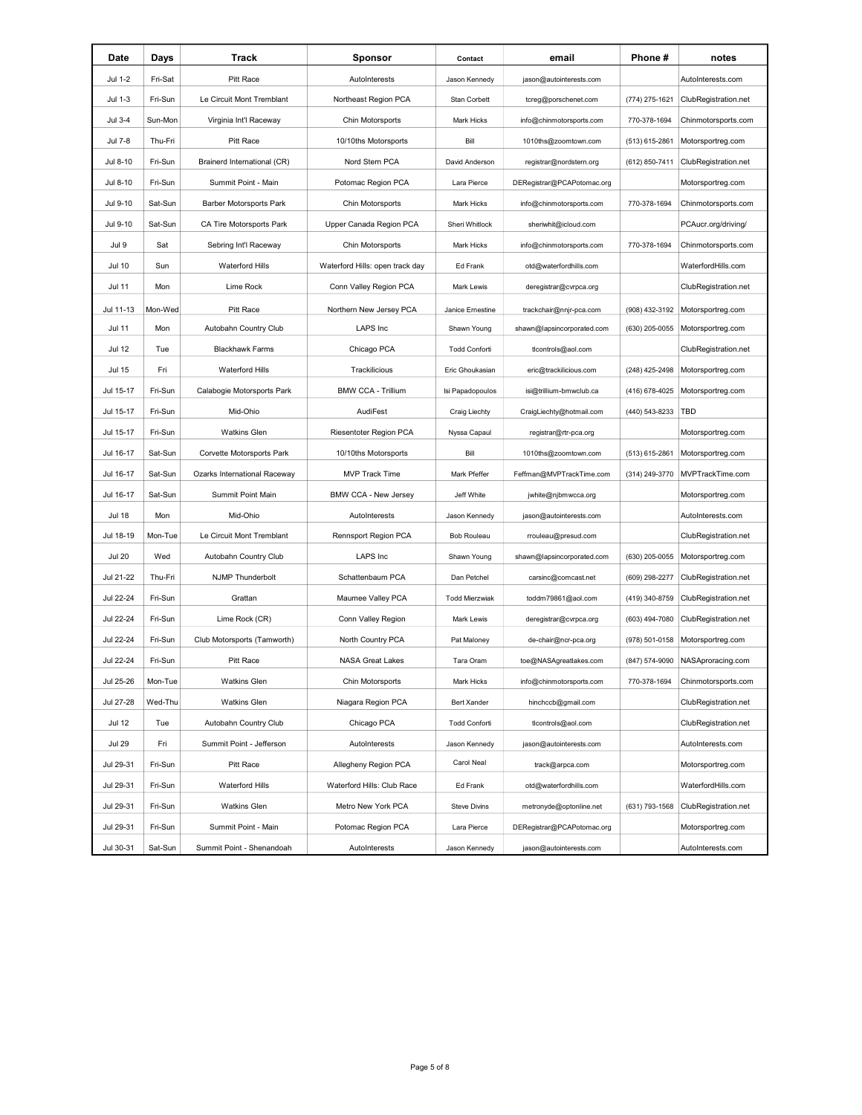| Date          | Days    | Track                        | <b>Sponsor</b>                  | Contact               | email                      | Phone#         | notes                |
|---------------|---------|------------------------------|---------------------------------|-----------------------|----------------------------|----------------|----------------------|
| Jul 1-2       | Fri-Sat | Pitt Race                    | AutoInterests                   | Jason Kennedy         | jason@autointerests.com    |                | AutoInterests.com    |
| Jul 1-3       | Fri-Sun | Le Circuit Mont Tremblant    | Northeast Region PCA            | Stan Corbett          | tcreg@porschenet.com       | (774) 275-1621 | ClubRegistration.net |
| Jul 3-4       | Sun-Mon | Virginia Int'l Raceway       | Chin Motorsports                | Mark Hicks            | info@chinmotorsports.com   | 770-378-1694   | Chinmotorsports.com  |
| Jul 7-8       | Thu-Fri | Pitt Race                    | 10/10ths Motorsports            | Bill                  | 1010ths@zoomtown.com       | (513) 615-2861 | Motorsportreg.com    |
| Jul 8-10      | Fri-Sun | Brainerd International (CR)  | Nord Stern PCA                  | David Anderson        | registrar@nordstern.org    | (612) 850-7411 | ClubRegistration.net |
| Jul 8-10      | Fri-Sun | Summit Point - Main          | Potomac Region PCA              | Lara Pierce           | DERegistrar@PCAPotomac.org |                | Motorsportreg.com    |
| Jul 9-10      | Sat-Sun | Barber Motorsports Park      | Chin Motorsports                | Mark Hicks            | info@chinmotorsports.com   | 770-378-1694   | Chinmotorsports.com  |
| Jul 9-10      | Sat-Sun | CA Tire Motorsports Park     | Upper Canada Region PCA         | Sheri Whitlock        | sheriwhit@icloud.com       |                | PCAucr.org/driving/  |
| Jul 9         | Sat     | Sebring Int'l Raceway        | Chin Motorsports                | Mark Hicks            | info@chinmotorsports.com   | 770-378-1694   | Chinmotorsports.com  |
| <b>Jul 10</b> | Sun     | <b>Waterford Hills</b>       | Waterford Hills: open track day | Ed Frank              | otd@waterfordhills.com     |                | WaterfordHills.com   |
| Jul 11        | Mon     | Lime Rock                    | Conn Valley Region PCA          | Mark Lewis            | deregistrar@cvrpca.org     |                | ClubRegistration.net |
| Jul 11-13     | Mon-Wed | Pitt Race                    | Northern New Jersey PCA         | Janice Ernestine      | trackchair@nnjr-pca.com    | (908) 432-3192 | Motorsportreg.com    |
| <b>Jul 11</b> | Mon     | Autobahn Country Club        | LAPS Inc                        | Shawn Young           | shawn@lapsincorporated.com | (630) 205-0055 | Motorsportreg.com    |
| <b>Jul 12</b> | Tue     | <b>Blackhawk Farms</b>       | Chicago PCA                     | <b>Todd Conforti</b>  | ticontrols@aol.com         |                | ClubRegistration.net |
| Jul 15        | Fri     | <b>Waterford Hills</b>       | Trackilicious                   | Eric Ghoukasian       | eric@trackilicious.com     | (248) 425-2498 | Motorsportreg.com    |
| Jul 15-17     | Fri-Sun | Calabogie Motorsports Park   | <b>BMW CCA - Trillium</b>       | Isi Papadopoulos      | isi@trillium-bmwclub.ca    | (416) 678-4025 | Motorsportreg.com    |
| Jul 15-17     | Fri-Sun | Mid-Ohio                     | AudiFest                        | Craig Liechty         | CraigLiechty@hotmail.com   | (440) 543-8233 | TBD                  |
| Jul 15-17     | Fri-Sun | <b>Watkins Glen</b>          | Riesentoter Region PCA          | Nyssa Capaul          | registrar@rtr-pca.org      |                | Motorsportreg.com    |
| Jul 16-17     | Sat-Sun | Corvette Motorsports Park    | 10/10ths Motorsports            | Bill                  | 1010ths@zoomtown.com       | (513) 615-2861 | Motorsportreg.com    |
| Jul 16-17     | Sat-Sun | Ozarks International Raceway | <b>MVP Track Time</b>           | Mark Pfeffer          | Feffman@MVPTrackTime.com   | (314) 249-3770 | MVPTrackTime.com     |
| Jul 16-17     | Sat-Sun | <b>Summit Point Main</b>     | BMW CCA - New Jersey            | Jeff White            | jwhite@njbmwcca.org        |                | Motorsportreg.com    |
| <b>Jul 18</b> | Mon     | Mid-Ohio                     | AutoInterests                   | Jason Kennedy         | jason@autointerests.com    |                | AutoInterests.com    |
| Jul 18-19     | Mon-Tue | Le Circuit Mont Tremblant    | Rennsport Region PCA            | <b>Bob Rouleau</b>    | rrouleau@presud.com        |                | ClubRegistration.net |
| <b>Jul 20</b> | Wed     | Autobahn Country Club        | LAPS Inc                        | Shawn Young           | shawn@lapsincorporated.com | (630) 205-0055 | Motorsportreg.com    |
| Jul 21-22     | Thu-Fri | <b>NJMP Thunderbolt</b>      | Schattenbaum PCA                | Dan Petchel           | carsinc@comcast.net        | (609) 298-2277 | ClubRegistration.net |
| Jul 22-24     | Fri-Sun | Grattan                      | Maumee Valley PCA               | <b>Todd Mierzwiak</b> | toddm79861@aol.com         | (419) 340-8759 | ClubRegistration.net |
| Jul 22-24     | Fri-Sun | Lime Rock (CR)               | Conn Valley Region              | Mark Lewis            | deregistrar@cvrpca.org     | (603) 494-7080 | ClubRegistration.net |
| Jul 22-24     | Fri-Sun | Club Motorsports (Tamworth)  | North Country PCA               | Pat Maloney           | de-chair@ncr-pca.org       | (978) 501-0158 | Motorsportreg.com    |
| Jul 22-24     | Fri-Sun | <b>Pitt Race</b>             | <b>NASA Great Lakes</b>         | Tara Oram             | toe@NASAgreatlakes.com     | (847) 574-9090 | NASAproracing.com    |
| Jul 25-26     | Mon-Tue | <b>Watkins Glen</b>          | Chin Motorsports                | Mark Hicks            | info@chinmotorsports.com   | 770-378-1694   | Chinmotorsports.com  |
| Jul 27-28     | Wed-Thu | <b>Watkins Glen</b>          | Niagara Region PCA              | Bert Xander           | hinchccb@gmail.com         |                | ClubRegistration.net |
| <b>Jul 12</b> | Tue     | Autobahn Country Club        | Chicago PCA                     | <b>Todd Conforti</b>  | ticontrols@aol.com         |                | ClubRegistration.net |
| <b>Jul 29</b> | Fri     | Summit Point - Jefferson     | AutoInterests                   | Jason Kennedy         | jason@autointerests.com    |                | AutoInterests.com    |
| Jul 29-31     | Fri-Sun | Pitt Race                    | Allegheny Region PCA            | Carol Neal            | track@arpca.com            |                | Motorsportreg.com    |
| Jul 29-31     | Fri-Sun | <b>Waterford Hills</b>       | Waterford Hills: Club Race      | Ed Frank              | otd@waterfordhills.com     |                | WaterfordHills.com   |
| Jul 29-31     | Fri-Sun | <b>Watkins Glen</b>          | Metro New York PCA              | <b>Steve Divins</b>   | metronyde@optonline.net    | (631) 793-1568 | ClubRegistration.net |
| Jul 29-31     | Fri-Sun | Summit Point - Main          | Potomac Region PCA              | Lara Pierce           | DERegistrar@PCAPotomac.org |                | Motorsportreg.com    |
| Jul 30-31     | Sat-Sun | Summit Point - Shenandoah    | AutoInterests                   | Jason Kennedy         | jason@autointerests.com    |                | AutoInterests.com    |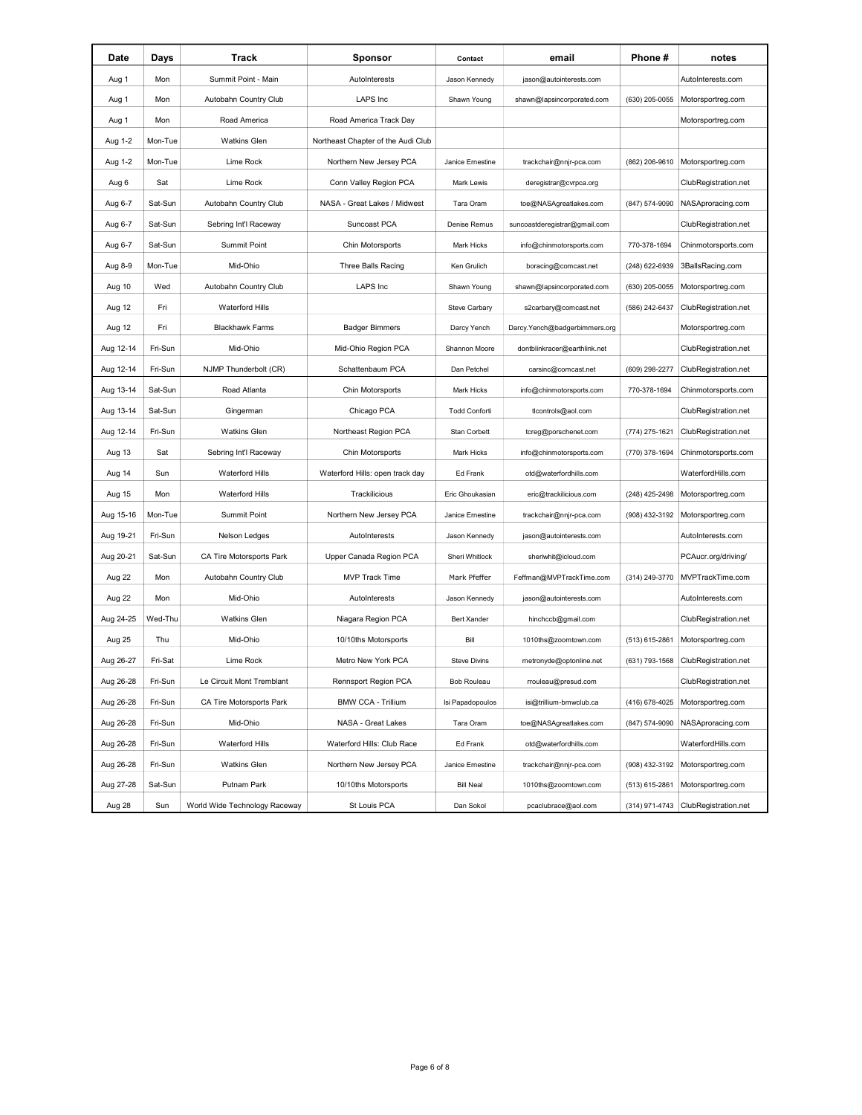| Date      | Days    | Track                         | <b>Sponsor</b>                     | Contact              | email                         | Phone #        | notes                               |
|-----------|---------|-------------------------------|------------------------------------|----------------------|-------------------------------|----------------|-------------------------------------|
| Aug 1     | Mon     | Summit Point - Main           | AutoInterests                      | Jason Kennedy        | jason@autointerests.com       |                | AutoInterests.com                   |
| Aug 1     | Mon     | Autobahn Country Club         | <b>LAPS Inc</b>                    | Shawn Young          | shawn@lapsincorporated.com    | (630) 205-0055 | Motorsportreg.com                   |
| Aug 1     | Mon     | Road America                  | Road America Track Day             |                      |                               |                | Motorsportreg.com                   |
| Aug 1-2   | Mon-Tue | <b>Watkins Glen</b>           | Northeast Chapter of the Audi Club |                      |                               |                |                                     |
| Aug 1-2   | Mon-Tue | Lime Rock                     | Northern New Jersey PCA            | Janice Ernestine     | trackchair@nnjr-pca.com       | (862) 206-9610 | Motorsportreg.com                   |
| Aug 6     | Sat     | Lime Rock                     | Conn Valley Region PCA             | Mark Lewis           | deregistrar@cvrpca.org        |                | ClubRegistration.net                |
| Aug 6-7   | Sat-Sun | Autobahn Country Club         | NASA - Great Lakes / Midwest       | Tara Oram            | toe@NASAgreatlakes.com        | (847) 574-9090 | NASAproracing.com                   |
| Aug 6-7   | Sat-Sun | Sebring Int'l Raceway         | Suncoast PCA                       | Denise Remus         | suncoastderegistrar@gmail.com |                | ClubRegistration.net                |
| Aug 6-7   | Sat-Sun | Summit Point                  | Chin Motorsports                   | <b>Mark Hicks</b>    | info@chinmotorsports.com      | 770-378-1694   | Chinmotorsports.com                 |
| Aug 8-9   | Mon-Tue | Mid-Ohio                      | Three Balls Racing                 | Ken Grulich          | boracing@comcast.net          | (248) 622-6939 | 3BallsRacing.com                    |
| Aug 10    | Wed     | Autobahn Country Club         | <b>LAPS Inc</b>                    | Shawn Young          | shawn@lapsincorporated.com    | (630) 205-0055 | Motorsportreg.com                   |
| Aug 12    | Fri     | <b>Waterford Hills</b>        |                                    | Steve Carbary        | s2carbary@comcast.net         | (586) 242-6437 | ClubRegistration.net                |
| Aug 12    | Fri     | <b>Blackhawk Farms</b>        | <b>Badger Bimmers</b>              | Darcy Yench          | Darcy.Yench@badgerbimmers.org |                | Motorsportreg.com                   |
| Aug 12-14 | Fri-Sun | Mid-Ohio                      | Mid-Ohio Region PCA                | Shannon Moore        | dontblinkracer@earthlink.net  |                | ClubRegistration.net                |
| Aug 12-14 | Fri-Sun | NJMP Thunderbolt (CR)         | Schattenbaum PCA                   | Dan Petchel          | carsinc@comcast.net           | (609) 298-2277 | ClubRegistration.net                |
| Aug 13-14 | Sat-Sun | Road Atlanta                  | Chin Motorsports                   | Mark Hicks           | info@chinmotorsports.com      | 770-378-1694   | Chinmotorsports.com                 |
| Aug 13-14 | Sat-Sun | Gingerman                     | Chicago PCA                        | <b>Todd Conforti</b> | ticontrols@aol.com            |                | ClubRegistration.net                |
| Aug 12-14 | Fri-Sun | <b>Watkins Glen</b>           | Northeast Region PCA               | Stan Corbett         | tcreg@porschenet.com          | (774) 275-1621 | ClubRegistration.net                |
| Aug 13    | Sat     | Sebring Int'l Raceway         | Chin Motorsports                   | Mark Hicks           | info@chinmotorsports.com      | (770) 378-1694 | Chinmotorsports.com                 |
| Aug 14    | Sun     | <b>Waterford Hills</b>        | Waterford Hills: open track day    | Ed Frank             | otd@waterfordhills.com        |                | WaterfordHills.com                  |
| Aug 15    | Mon     | <b>Waterford Hills</b>        | Trackilicious                      | Eric Ghoukasian      | eric@trackilicious.com        | (248) 425-2498 | Motorsportreg.com                   |
| Aug 15-16 | Mon-Tue | Summit Point                  | Northern New Jersey PCA            | Janice Ernestine     | trackchair@nnjr-pca.com       | (908) 432-3192 | Motorsportreg.com                   |
| Aug 19-21 | Fri-Sun | Nelson Ledges                 | AutoInterests                      | Jason Kennedy        | jason@autointerests.com       |                | AutoInterests.com                   |
| Aug 20-21 | Sat-Sun | CA Tire Motorsports Park      | Upper Canada Region PCA            | Sheri Whitlock       | sheriwhit@icloud.com          |                | PCAucr.org/driving/                 |
| Aug 22    | Mon     | Autobahn Country Club         | <b>MVP Track Time</b>              | Mark Pfeffer         | Feffman@MVPTrackTime.com      | (314) 249-3770 | MVPTrackTime.com                    |
| Aug 22    | Mon     | Mid-Ohio                      | AutoInterests                      | Jason Kennedy        | jason@autointerests.com       |                | AutoInterests.com                   |
| Aug 24-25 | Wed-Thu | <b>Watkins Glen</b>           | Niagara Region PCA                 | <b>Bert Xander</b>   | hinchccb@gmail.com            |                | ClubRegistration.net                |
| Aug 25    | Thu     | Mid-Ohio                      | 10/10ths Motorsports               | Bill                 | 1010ths@zoomtown.com          | (513) 615-2861 | Motorsportreg.com                   |
| Aug 26-27 | Fri-Sat | Lime Rock                     | Metro New York PCA                 | <b>Steve Divins</b>  | metronyde@optonline.net       | (631) 793-1568 | ClubRegistration.net                |
| Aug 26-28 | Fri-Sun | Le Circuit Mont Tremblant     | Rennsport Region PCA               | <b>Bob Rouleau</b>   | rrouleau@presud.com           |                | ClubRegistration.net                |
| Aug 26-28 | Fri-Sun | CA Tire Motorsports Park      | <b>BMW CCA - Trillium</b>          | Isi Papadopoulos     | isi@trillium-bmwclub.ca       | (416) 678-4025 | Motorsportreg.com                   |
| Aug 26-28 | Fri-Sun | Mid-Ohio                      | NASA - Great Lakes                 | Tara Oram            | toe@NASAgreatlakes.com        | (847) 574-9090 | NASAproracing.com                   |
| Aug 26-28 | Fri-Sun | <b>Waterford Hills</b>        | Waterford Hills: Club Race         | Ed Frank             | otd@waterfordhills.com        |                | WaterfordHills.com                  |
| Aug 26-28 | Fri-Sun | <b>Watkins Glen</b>           | Northern New Jersey PCA            | Janice Ernestine     | trackchair@nnjr-pca.com       | (908) 432-3192 | Motorsportreg.com                   |
| Aug 27-28 | Sat-Sun | Putnam Park                   | 10/10ths Motorsports               | <b>Bill Neal</b>     | 1010ths@zoomtown.com          | (513) 615-2861 | Motorsportreg.com                   |
| Aug 28    | Sun     | World Wide Technology Raceway | St Louis PCA                       | Dan Sokol            | pcaclubrace@aol.com           |                | (314) 971-4743 ClubRegistration.net |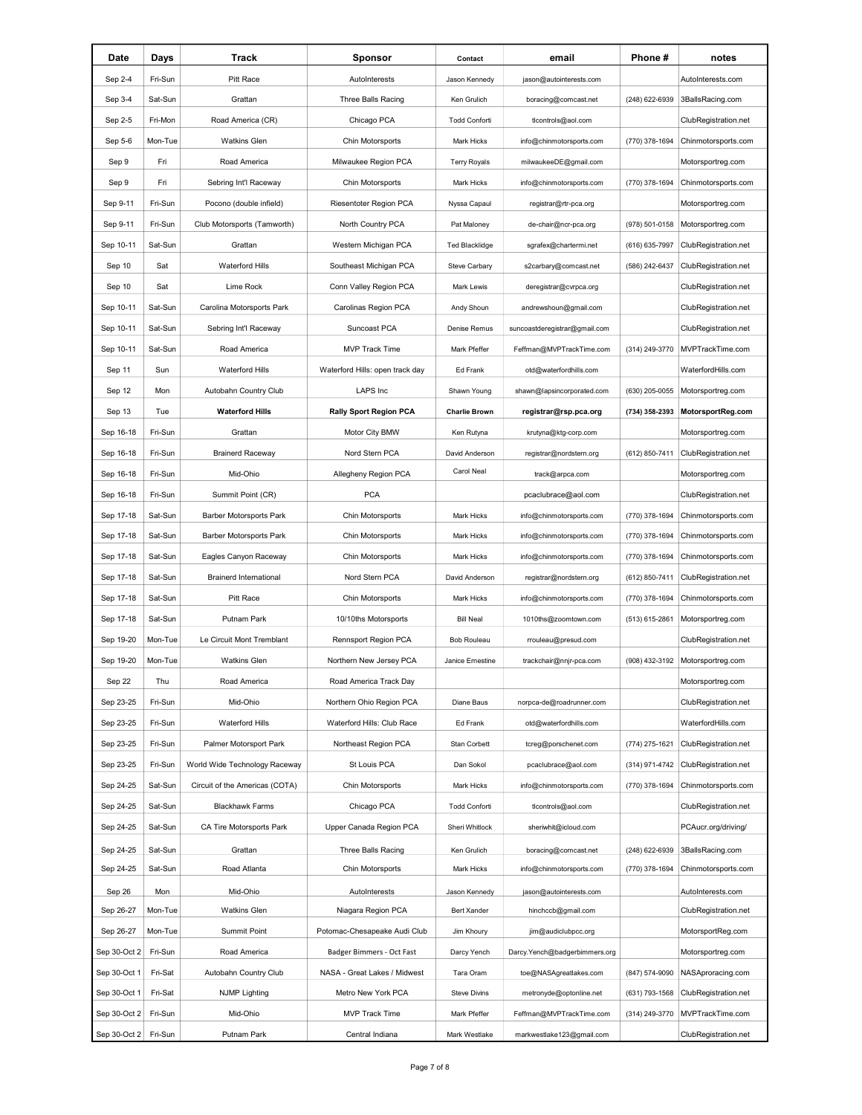| Pitt Race<br>Sep 2-4<br>Fri-Sun<br>AutoInterests<br>jason@autointerests.com<br>Jason Kennedy<br>Sep 3-4<br>Sat-Sun<br>Grattan<br>Three Balls Racing<br>(248) 622-6939<br>Ken Grulich<br>boracing@comcast.net | AutoInterests.com<br>3BallsRacing.com |
|--------------------------------------------------------------------------------------------------------------------------------------------------------------------------------------------------------------|---------------------------------------|
|                                                                                                                                                                                                              |                                       |
|                                                                                                                                                                                                              |                                       |
| Sep 2-5<br>Fri-Mon<br>Road America (CR)<br>Chicago PCA<br><b>Todd Conforti</b><br>ticontrols@aol.com                                                                                                         | ClubRegistration.net                  |
| Sep 5-6<br>Mon-Tue<br><b>Watkins Glen</b><br>Chin Motorsports<br>(770) 378-1694<br>Mark Hicks<br>info@chinmotorsports.com                                                                                    | Chinmotorsports.com                   |
| Milwaukee Region PCA<br>Sep 9<br>Fri<br>Road America<br><b>Terry Royals</b><br>milwaukeeDE@gmail.com                                                                                                         | Motorsportreg.com                     |
| Sep 9<br>Fri<br>Sebring Int'l Raceway<br>Chin Motorsports<br>Mark Hicks<br>info@chinmotorsports.com<br>(770) 378-1694                                                                                        | Chinmotorsports.com                   |
| Sep 9-11<br>Fri-Sun<br>Riesentoter Region PCA<br>Pocono (double infield)<br>Nyssa Capaul<br>registrar@rtr-pca.org                                                                                            | Motorsportreg.com                     |
| Sep 9-11<br>Fri-Sun<br>Club Motorsports (Tamworth)<br>North Country PCA<br>(978) 501-0158<br>Pat Maloney<br>de-chair@ncr-pca.org                                                                             | Motorsportreg.com                     |
| Sep 10-11<br>Sat-Sun<br>Grattan<br>Western Michigan PCA<br><b>Ted Blacklidge</b><br>(616) 635-7997<br>sgrafex@chartermi.net                                                                                  | ClubRegistration.net                  |
| Sep 10<br><b>Waterford Hills</b><br>Sat<br>Southeast Michigan PCA<br>Steve Carbary<br>s2carbary@comcast.net<br>(586) 242-6437                                                                                | ClubRegistration.net                  |
| Sep 10<br>Lime Rock<br>Sat<br>Conn Valley Region PCA<br>Mark Lewis<br>deregistrar@cvrpca.org                                                                                                                 | ClubRegistration.net                  |
| Sep 10-11<br>Carolinas Region PCA<br>Sat-Sun<br>Carolina Motorsports Park<br>Andy Shoun<br>andrewshoun@gmail.com                                                                                             | ClubRegistration.net                  |
| Sep 10-11<br>Sat-Sun<br>Suncoast PCA<br>Sebring Int'l Raceway<br>Denise Remus<br>suncoastderegistrar@gmail.com                                                                                               | ClubRegistration.net                  |
| MVP Track Time<br>Sep 10-11<br>Sat-Sun<br>Road America<br>Mark Pfeffer<br>Feffman@MVPTrackTime.com<br>(314) 249-3770                                                                                         | MVPTrackTime.com                      |
| Sep 11<br>Sun<br><b>Waterford Hills</b><br>Waterford Hills: open track day<br><b>Ed Frank</b><br>otd@waterfordhills.com                                                                                      | WaterfordHills.com                    |
| Sep 12<br>Autobahn Country Club<br>LAPS Inc<br>Mon<br>Shawn Young<br>shawn@lapsincorporated.com<br>(630) 205-0055                                                                                            | Motorsportreg.com                     |
| Sep 13<br>Tue<br><b>Waterford Hills</b><br><b>Rally Sport Region PCA</b><br>registrar@rsp.pca.org<br><b>Charlie Brown</b><br>(734) 358-2393                                                                  | MotorsportReg.com                     |
| Sep 16-18<br>Fri-Sun<br>Grattan<br>Motor City BMW<br>Ken Rutyna<br>krutyna@ktg-corp.com                                                                                                                      | Motorsportreg.com                     |
| Sep 16-18<br>Fri-Sun<br>Nord Stern PCA<br><b>Brainerd Raceway</b><br>David Anderson<br>(612) 850-7411<br>registrar@nordstern.org                                                                             | ClubRegistration.net                  |
| Carol Neal<br>Sep 16-18<br>Fri-Sun<br>Allegheny Region PCA<br>Mid-Ohio<br>track@arpca.com                                                                                                                    | Motorsportreg.com                     |
| Sep 16-18<br>Fri-Sun<br>Summit Point (CR)<br><b>PCA</b><br>pcaclubrace@aol.com                                                                                                                               | ClubRegistration.net                  |
| Sep 17-18<br>Barber Motorsports Park<br>Mark Hicks<br>Sat-Sun<br>Chin Motorsports<br>info@chinmotorsports.com<br>(770) 378-1694                                                                              | Chinmotorsports.com                   |
| Sep 17-18<br>Sat-Sun<br><b>Barber Motorsports Park</b><br>Chin Motorsports<br>Mark Hicks<br>info@chinmotorsports.com<br>(770) 378-1694                                                                       | Chinmotorsports.com                   |
| Sep 17-18<br>Sat-Sun<br>Eagles Canyon Raceway<br>Chin Motorsports<br>Mark Hicks<br>info@chinmotorsports.com<br>(770) 378-1694                                                                                | Chinmotorsports.com                   |
| Sep 17-18<br>Sat-Sun<br><b>Brainerd International</b><br>Nord Stern PCA<br>David Anderson<br>registrar@nordstern.org<br>(612) 850-7411                                                                       | ClubRegistration.net                  |
| Sep 17-18<br>Sat-Sun<br>Pitt Race<br>Chin Motorsports<br>info@chinmotorsports.com<br>(770) 378-1694<br>Mark Hicks                                                                                            | Chinmotorsports.com                   |
| Sep 17-18<br>Sat-Sun<br>Putnam Park<br>10/10ths Motorsports<br><b>Bill Neal</b><br>1010ths@zoomtown.com<br>(513) 615-2861                                                                                    | Motorsportreg.com                     |
| Sep 19-20<br>Mon-Tue<br>Le Circuit Mont Tremblant<br>Rennsport Region PCA<br><b>Bob Rouleau</b><br>rrouleau@presud.com                                                                                       | ClubRegistration.net                  |
| Sep 19-20<br>Mon-Tue<br><b>Watkins Glen</b><br>Northern New Jersey PCA<br>Janice Ernestine<br>trackchair@nnjr-pca.com<br>(908) 432-3192                                                                      | Motorsportreg.com                     |
| Sep 22<br>Thu<br>Road America<br>Road America Track Day                                                                                                                                                      | Motorsportreg.com                     |
| Sep 23-25<br>Fri-Sun<br>Mid-Ohio<br>Northern Ohio Region PCA<br>Diane Baus<br>norpca-de@roadrunner.com                                                                                                       | ClubRegistration.net                  |
| Sep 23-25<br>Fri-Sun<br>Waterford Hills<br>Waterford Hills: Club Race<br>Ed Frank<br>otd@waterfordhills.com                                                                                                  | WaterfordHills.com                    |
| Sep 23-25<br>Fri-Sun<br>Palmer Motorsport Park<br>Northeast Region PCA<br>Stan Corbett<br>(774) 275-1621<br>tcreg@porschenet.com                                                                             | ClubRegistration.net                  |
| Sep 23-25<br>Fri-Sun<br>World Wide Technology Raceway<br>St Louis PCA<br>Dan Sokol<br>(314) 971-4742<br>pcaclubrace@aol.com                                                                                  | ClubRegistration.net                  |
| Sep 24-25<br>Sat-Sun<br>Circuit of the Americas (COTA)<br>Chin Motorsports<br>(770) 378-1694<br>Mark Hicks<br>info@chinmotorsports.com                                                                       | Chinmotorsports.com                   |
| Sep 24-25<br>Sat-Sun<br>Chicago PCA<br><b>Blackhawk Farms</b><br><b>Todd Conforti</b><br>ticontrols@aol.com                                                                                                  | ClubRegistration.net                  |
| Sep 24-25<br>Sat-Sun<br>Upper Canada Region PCA<br>CA Tire Motorsports Park<br>Sheri Whitlock<br>sheriwhit@icloud.com                                                                                        | PCAucr.org/driving/                   |
| Sep 24-25<br>Sat-Sun<br>Grattan<br>Ken Grulich<br>(248) 622-6939<br>Three Balls Racing<br>boracing@comcast.net                                                                                               | 3BallsRacing.com                      |
| Sep 24-25<br>Sat-Sun<br>Road Atlanta<br>Chin Motorsports<br>Mark Hicks<br>info@chinmotorsports.com<br>(770) 378-1694                                                                                         | Chinmotorsports.com                   |
| Sep 26<br>Mon<br>Mid-Ohio<br>AutoInterests<br>Jason Kennedy<br>jason@autointerests.com                                                                                                                       | AutoInterests.com                     |
| Sep 26-27<br>Mon-Tue<br><b>Watkins Glen</b><br>Niagara Region PCA<br>Bert Xander<br>hinchccb@gmail.com                                                                                                       | ClubRegistration.net                  |
| Sep 26-27<br>Mon-Tue<br>Summit Point<br>Potomac-Chesapeake Audi Club<br>Jim Khoury<br>jim@audiclubpcc.org                                                                                                    | MotorsportReg.com                     |
| Sep 30-Oct 2<br>Fri-Sun<br>Road America<br>Badger Bimmers - Oct Fast<br>Darcy Yench<br>Darcy.Yench@badgerbimmers.org                                                                                         | Motorsportreg.com                     |
| Sep 30-Oct 1<br>Fri-Sat<br>Autobahn Country Club<br>NASA - Great Lakes / Midwest<br>Tara Oram<br>toe@NASAgreatlakes.com<br>(847) 574-9090                                                                    | NASAproracing.com                     |
| Sep 30-Oct 1<br>Fri-Sat<br><b>NJMP Lighting</b><br>Metro New York PCA<br>Steve Divins<br>metronyde@optonline.net<br>(631) 793-1568                                                                           | ClubRegistration.net                  |
| Sep 30-Oct 2<br>Fri-Sun<br>Mid-Ohio<br>MVP Track Time<br>Mark Pfeffer<br>(314) 249-3770<br>Feffman@MVPTrackTime.com                                                                                          | MVPTrackTime.com                      |
| Sep 30-Oct 2<br>Fri-Sun<br>Putnam Park<br>Central Indiana<br>Mark Westlake<br>markwestlake123@gmail.com                                                                                                      | ClubRegistration.net                  |